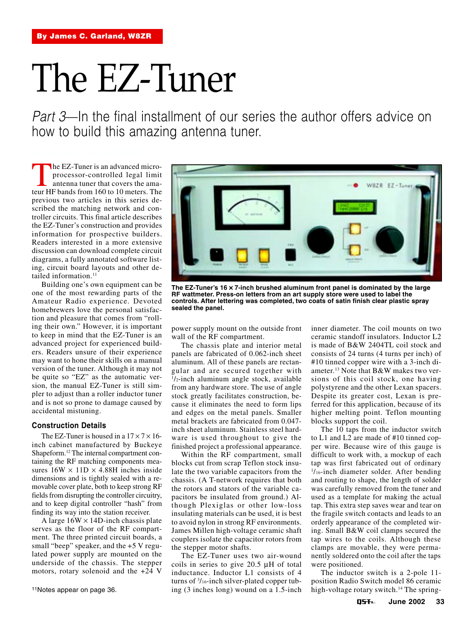# The EZ-Tuner

Part 3—In the final installment of our series the author offers advice on how to build this amazing antenna tuner.

The EZ-Tuner is an advanced micro-<br>processor-controlled legal limit<br>antenna tuner that covers the ama-<br>teur HF bands from 160 to 10 meters. The processor-controlled legal limit antenna tuner that covers the amaprevious two articles in this series described the matching network and controller circuits. This final article describes the EZ-Tuner's construction and provides information for prospective builders. Readers interested in a more extensive discussion can download complete circuit diagrams, a fully annotated software listing, circuit board layouts and other detailed information.<sup>11</sup>

Building one's own equipment can be one of the most rewarding parts of the Amateur Radio experience. Devoted homebrewers love the personal satisfaction and pleasure that comes from "rolling their own." However, it is important to keep in mind that the EZ-Tuner is an advanced project for experienced builders. Readers unsure of their experience may want to hone their skills on a manual version of the tuner. Although it may not be quite so "EZ" as the automatic version, the manual EZ-Tuner is still simpler to adjust than a roller inductor tuner and is not so prone to damage caused by accidental mistuning.

# **Construction Details**

The EZ-Tuner is housed in a  $17 \times 7 \times 16$ inch cabinet manufactured by Buckeye Shapeform.12 The internal compartment containing the RF matching components measures  $16W \times 11D \times 4.88H$  inches inside dimensions and is tightly sealed with a removable cover plate, both to keep strong RF fields from disrupting the controller circuitry, and to keep digital controller "hash" from finding its way into the station receiver.

A large  $16W \times 14D$ -inch chassis plate serves as the floor of the RF compartment. The three printed circuit boards, a small "beep" speaker, and the  $+5$  V regulated power supply are mounted on the underside of the chassis. The stepper motors, rotary solenoid and the +24 V



**The EZ-Tuner's 16** × **7-inch brushed aluminum front panel is dominated by the large RF wattmeter. Press-on letters from an art supply store were used to label the controls. After lettering was completed, two coats of satin finish clear plastic spray sealed the panel.**

power supply mount on the outside front wall of the RF compartment.

The chassis plate and interior metal panels are fabricated of 0.062-inch sheet aluminum. All of these panels are rectangular and are secured together with 1 /2-inch aluminum angle stock, available from any hardware store. The use of angle stock greatly facilitates construction, because it eliminates the need to form lips and edges on the metal panels. Smaller metal brackets are fabricated from 0.047 inch sheet aluminum. Stainless steel hardware is used throughout to give the finished project a professional appearance.

Within the RF compartment, small blocks cut from scrap Teflon stock insulate the two variable capacitors from the chassis. (A T-network requires that both the rotors and stators of the variable capacitors be insulated from ground.) Although Plexiglas or other low-loss insulating materials can be used, it is best to avoid nylon in strong RF environments. James Millen high-voltage ceramic shaft couplers isolate the capacitor rotors from the stepper motor shafts.

The EZ-Tuner uses two air-wound coils in series to give 20.5 µH of total inductance. Inductor L1 consists of 4 turns of 3 /16-inch silver-plated copper tubing (3 inches long) wound on a 1.5-inch inner diameter. The coil mounts on two ceramic standoff insulators. Inductor L2 is made of B&W 2404TL coil stock and consists of 24 turns (4 turns per inch) of #10 tinned copper wire with a 3-inch diameter.13 Note that B&W makes two versions of this coil stock, one having polystyrene and the other Lexan spacers. Despite its greater cost, Lexan is preferred for this application, because of its higher melting point. Teflon mounting blocks support the coil.

The 10 taps from the inductor switch to L1 and L2 are made of #10 tinned copper wire. Because wire of this gauge is difficult to work with, a mockup of each tap was first fabricated out of ordinary 1 /16-inch diameter solder. After bending and routing to shape, the length of solder was carefully removed from the tuner and used as a template for making the actual tap. This extra step saves wear and tear on the fragile switch contacts and leads to an orderly appearance of the completed wiring. Small B&W coil clamps secured the tap wires to the coils. Although these clamps are movable, they were permanently soldered onto the coil after the taps were positioned.

The inductor switch is a 2-pole 11 position Radio Switch model 86 ceramic high-voltage rotary switch.<sup>14</sup> The spring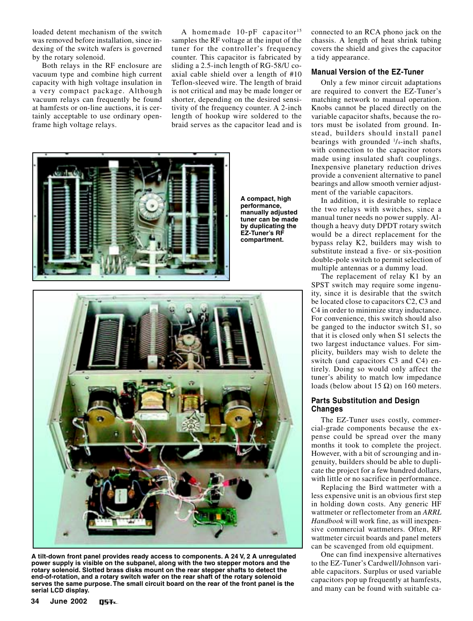loaded detent mechanism of the switch was removed before installation, since indexing of the switch wafers is governed by the rotary solenoid.

Both relays in the RF enclosure are vacuum type and combine high current capacity with high voltage insulation in a very compact package. Although vacuum relays can frequently be found at hamfests or on-line auctions, it is certainly acceptable to use ordinary openframe high voltage relays.

A homemade  $10$ -pF capacitor<sup>15</sup> samples the RF voltage at the input of the tuner for the controller's frequency counter. This capacitor is fabricated by sliding a 2.5-inch length of RG-58/U coaxial cable shield over a length of #10 Teflon-sleeved wire. The length of braid is not critical and may be made longer or shorter, depending on the desired sensitivity of the frequency counter. A 2-inch length of hookup wire soldered to the braid serves as the capacitor lead and is



**A tilt-down front panel provides ready access to components. A 24 V, 2 A unregulated power supply is visible on the subpanel, along with the two stepper motors and the rotary solenoid. Slotted brass disks mount on the rear stepper shafts to detect the end-of-rotation, and a rotary switch wafer on the rear shaft of the rotary solenoid serves the same purpose. The small circuit board on the rear of the front panel is the serial LCD display.**

connected to an RCA phono jack on the chassis. A length of heat shrink tubing covers the shield and gives the capacitor a tidy appearance.

## **Manual Version of the EZ-Tuner**

Only a few minor circuit adaptations are required to convert the EZ-Tuner's matching network to manual operation. Knobs cannot be placed directly on the variable capacitor shafts, because the rotors must be isolated from ground. Instead, builders should install panel bearings with grounded <sup>1</sup>/<sub>4</sub>-inch shafts, with connection to the capacitor rotors made using insulated shaft couplings. Inexpensive planetary reduction drives provide a convenient alternative to panel bearings and allow smooth vernier adjustment of the variable capacitors.

In addition, it is desirable to replace the two relays with switches, since a manual tuner needs no power supply. Although a heavy duty DPDT rotary switch would be a direct replacement for the bypass relay K2, builders may wish to substitute instead a five- or six-position double-pole switch to permit selection of multiple antennas or a dummy load.

The replacement of relay K1 by an SPST switch may require some ingenuity, since it is desirable that the switch be located close to capacitors C2, C3 and C4 in order to minimize stray inductance. For convenience, this switch should also be ganged to the inductor switch S1, so that it is closed only when S1 selects the two largest inductance values. For simplicity, builders may wish to delete the switch (and capacitors C3 and C4) entirely. Doing so would only affect the tuner's ability to match low impedance loads (below about 15 Ω) on 160 meters.

# **Parts Substitution and Design Changes**

The EZ-Tuner uses costly, commercial-grade components because the expense could be spread over the many months it took to complete the project. However, with a bit of scrounging and ingenuity, builders should be able to duplicate the project for a few hundred dollars, with little or no sacrifice in performance.

Replacing the Bird wattmeter with a less expensive unit is an obvious first step in holding down costs. Any generic HF wattmeter or reflectometer from an *ARRL Handbook* will work fine, as will inexpensive commercial wattmeters. Often, RF wattmeter circuit boards and panel meters can be scavenged from old equipment.

One can find inexpensive alternatives to the EZ-Tuner's Cardwell/Johnson variable capacitors. Surplus or used variable capacitors pop up frequently at hamfests, and many can be found with suitable ca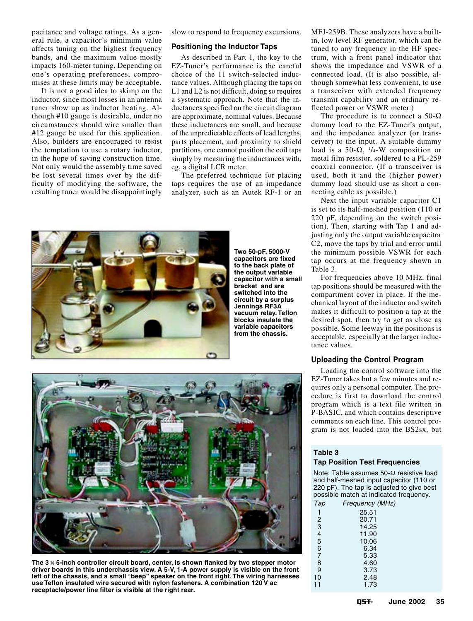pacitance and voltage ratings. As a general rule, a capacitor's minimum value affects tuning on the highest frequency bands, and the maximum value mostly impacts 160-meter tuning. Depending on one's operating preferences, compromises at these limits may be acceptable.

It is not a good idea to skimp on the inductor, since most losses in an antenna tuner show up as inductor heating. Although #10 gauge is desirable, under no circumstances should wire smaller than #12 gauge be used for this application. Also, builders are encouraged to resist the temptation to use a rotary inductor, in the hope of saving construction time. Not only would the assembly time saved be lost several times over by the difficulty of modifying the software, the resulting tuner would be disappointingly slow to respond to frequency excursions.

## **Positioning the Inductor Taps**

As described in Part 1, the key to the EZ-Tuner's performance is the careful choice of the 11 switch-selected inductance values. Although placing the taps on L1 and L2 is not difficult, doing so requires a systematic approach. Note that the inductances specified on the circuit diagram are approximate, nominal values. Because these inductances are small, and because of the unpredictable effects of lead lengths, parts placement, and proximity to shield partitions, one cannot position the coil taps simply by measuring the inductances with, eg, a digital LCR meter.

The preferred technique for placing taps requires the use of an impedance analyzer, such as an Autek RF-1 or an



**Two 50-pF, 5000-V capacitors are fixed to the back plate of the output variable capacitor with a small bracket and are switched into the circuit by a surplus Jennings RF3A vacuum relay. Teflon blocks insulate the variable capacitors from the chassis.**

MFJ-259B. These analyzers have a builtin, low level RF generator, which can be tuned to any frequency in the HF spectrum, with a front panel indicator that shows the impedance and VSWR of a connected load. (It is also possible, although somewhat less convenient, to use a transceiver with extended frequency transmit capability and an ordinary reflected power or VSWR meter.)

The procedure is to connect a  $50-\Omega$ dummy load to the EZ-Tuner's output, and the impedance analyzer (or transceiver) to the input. A suitable dummy load is a 50- $\Omega$ ,  $\frac{1}{4}$ -W composition or metal film resistor, soldered to a PL-259 coaxial connector. (If a transceiver is used, both it and the (higher power) dummy load should use as short a connecting cable as possible.)

Next the input variable capacitor C1 is set to its half-meshed position (110 or 220 pF, depending on the switch position). Then, starting with Tap 1 and adjusting only the output variable capacitor C2, move the taps by trial and error until the minimum possible VSWR for each tap occurs at the frequency shown in Table 3.

For frequencies above 10 MHz, final tap positions should be measured with the compartment cover in place. If the mechanical layout of the inductor and switch makes it difficult to position a tap at the desired spot, then try to get as close as possible. Some leeway in the positions is acceptable, especially at the larger inductance values.

## **Uploading the Control Program**

Loading the control software into the EZ-Tuner takes but a few minutes and requires only a personal computer. The procedure is first to download the control program which is a text file written in P-BASIC, and which contains descriptive comments on each line. This control program is not loaded into the BS2sx, but

#### **Table 3**

 $10$ <br> $11$ 

### **Tap Position Test Frequencies**

Note: Table assumes 50-Ω resistive load and half-meshed input capacitor (110 or 220 pF). The tap is adjusted to give best possible match at indicated frequency.

| Tap            | Frequency (MHz) |
|----------------|-----------------|
| 1              | 25.51           |
| 2              | 20.71           |
| 3              | 14.25           |
| 4              | 11.90           |
| 5              | 10.06           |
| 6              | 6.34            |
| $\overline{7}$ | 5.33            |
| 8              | 4.60            |
| 9              | 3.73            |
| 10             | 2.48            |
| 11             | 1.73            |



**The 3** × **5-inch controller circuit board, center, is shown flanked by two stepper motor driver boards in this underchassis view. A 5-V, 1-A power supply is visible on the front left of the chassis, and a small "beep" speaker on the front right. The wiring harnesses use Teflon insulated wire secured with nylon fasteners. A combination 120 V ac receptacle/power line filter is visible at the right rear.**